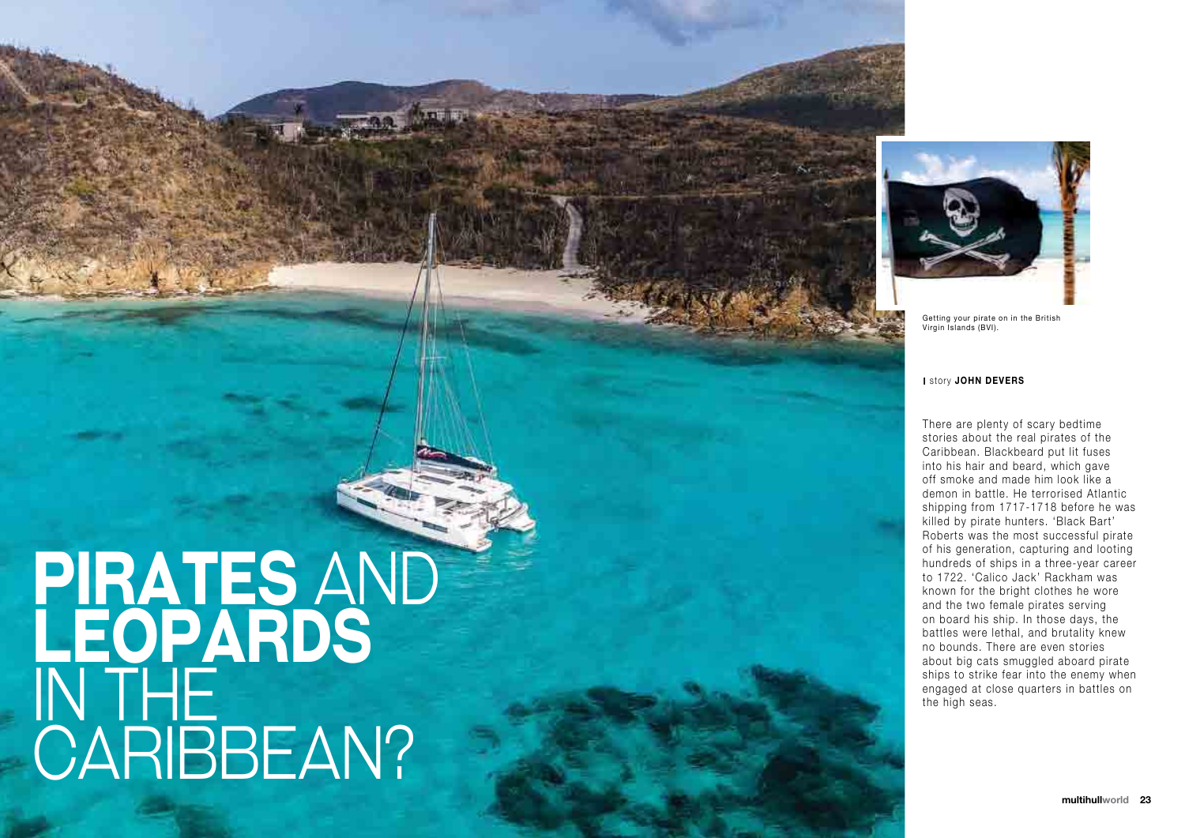# **Pirates** and **Leopards**  in iHE. CARIBBEAN?



There are plenty of scary bedtime stories about the real pirates of the Caribbean. Blackbeard put lit fuses into his hair and beard, which gave off smoke and made him look like a demon in battle. He terrorised Atlantic shipping from 1717-1718 before he was killed by pirate hunters. 'Black Bart' Roberts was the most successful pirate of his generation, capturing and looting hundreds of ships in a three-year career to 1722. 'Calico Jack' Rackham was known for the bright clothes he wore and the two female pirates serving on board his ship. In those days, the battles were lethal, and brutality knew no bounds. There are even stories about big cats smuggled aboard pirate ships to strike fear into the enemy when engaged at close quarters in battles on **There are plenty of stories about the reduction**. Blackbe<br>into his hair and be off smoke and mad<br>demon in battle. He shipping from 1717<br>killed by pirate hun<br>Roberts was the mot his generation, c<br>hundreds of ships i<br>to 172

Getting your pirate on in the British Virgin Islands (BVI).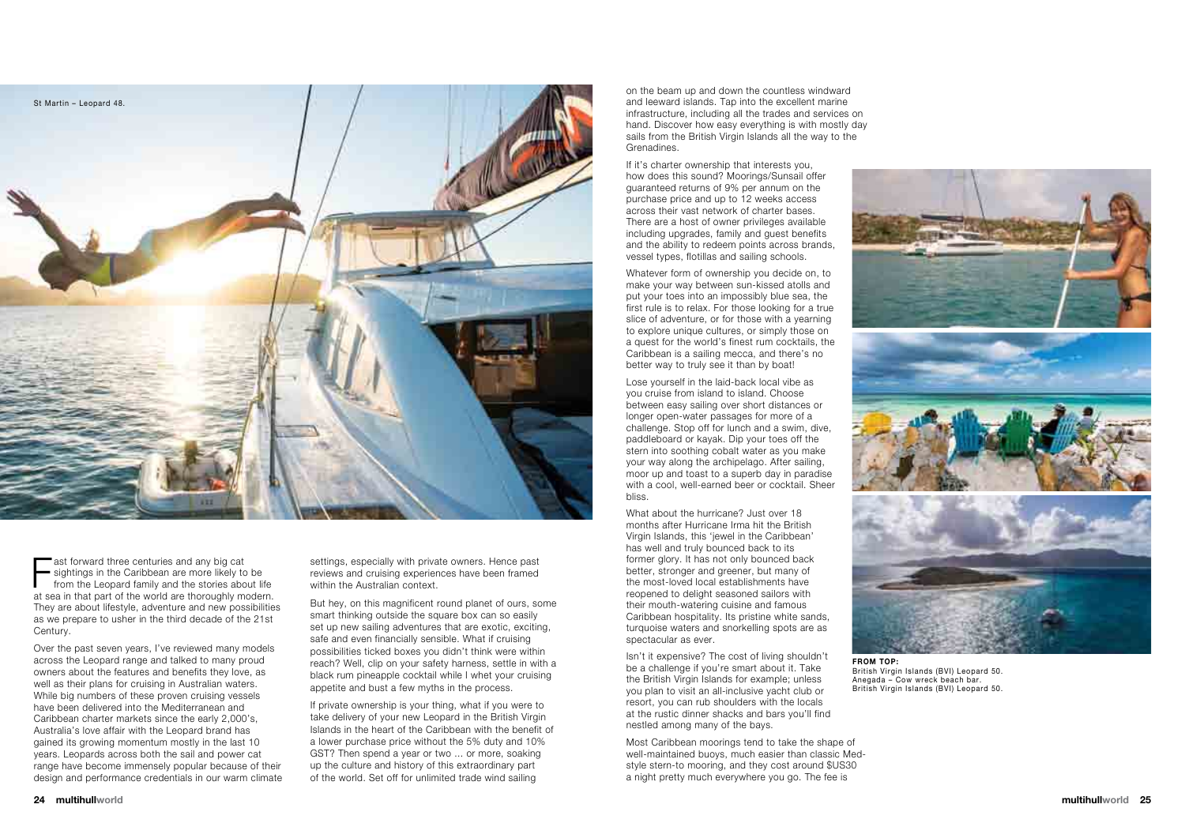ast forward three centuries and any big cat<br>sightings in the Caribbean are more likely to be<br>from the Leopard family and the stories about life<br>at sea in that part of the world are thoroughly modern. ast forward three centuries and any big cat **Solut in the Caribbean are more likely to be** from the Leopard family and the stories about life They are about lifestyle, adventure and new possibilities as we prepare to usher in the third decade of the 21st Century.

settings, especially with private owners. Hence past reviews and cruising experiences have been framed within the Australian context.

Over the past seven years, I've reviewed many models across the Leopard range and talked to many proud owners about the features and benefits they love, as well as their plans for cruising in Australian waters. While big numbers of these proven cruising vessels have been delivered into the Mediterranean and Caribbean charter markets since the early 2,000's, Australia's love affair with the Leopard brand has gained its growing momentum mostly in the last 10 years. Leopards across both the sail and power cat range have become immensely popular because of their design and performance credentials in our warm climate

If private ownership is your thing, what if you were to take delivery of your new Leopard in the British Virgin Islands in the heart of the Caribbean with the benefit of a lower purchase price without the 5% duty and 10% GST? Then spend a year or two ... or more, soaking up the culture and history of this extraordinary part of the world. Set off for unlimited trade wind sailing

But hey, on this magnificent round planet of ours, some smart thinking outside the square box can so easily set up new sailing adventures that are exotic, exciting, safe and even financially sensible. What if cruising possibilities ticked boxes you didn't think were within reach? Well, clip on your safety harness, settle in with a black rum pineapple cocktail while I whet your cruising appetite and bust a few myths in the process.

What about the hurricane? Just over 18 months after Hurricane Irma hit the British Virgin Islands, this 'jewel in the Caribbean' has well and truly bounced back to its former glory. It has not only bounced back better, stronger and greener, but many of the most-loved local establishments have reopened to delight seasoned sailors with their mouth-watering cuisine and famous Caribbean hospitality. Its pristine white sands, turquoise waters and snorkelling spots are as spectacular as ever.

on the beam up and down the countless windward and leeward islands. Tap into the excellent marine infrastructure, including all the trades and services on hand. Discover how easy everything is with mostly day sails from the British Virgin Islands all the way to the Grenadines.

If it's charter ownership that interests you, how does this sound? Moorings/Sunsail offer guaranteed returns of 9% per annum on the purchase price and up to 12 weeks access across their vast network of charter bases. There are a host of owner privileges available including upgrades, family and guest benefits and the ability to redeem points across brands, vessel types, flotillas and sailing schools.

Whatever form of ownership you decide on, to make your way between sun-kissed atolls and put your toes into an impossibly blue sea, the first rule is to relax. For those looking for a true slice of adventure, or for those with a yearning to explore unique cultures, or simply those on a quest for the world's finest rum cocktails, the Caribbean is a sailing mecca, and there's no better way to truly see it than by boat!

Lose yourself in the laid-back local vibe as you cruise from island to island. Choose between easy sailing over short distances or longer open-water passages for more of a challenge. Stop off for lunch and a swim, dive, paddleboard or kayak. Dip your toes off the stern into soothing cobalt water as you make your way along the archipelago. After sailing, moor up and toast to a superb day in paradise with a cool, well-earned beer or cocktail. Sheer bliss.

Isn't it expensive? The cost of living shouldn't be a challenge if you're smart about it. Take the British Virgin Islands for example; unless you plan to visit an all-inclusive yacht club or resort, you can rub shoulders with the locals at the rustic dinner shacks and bars you'll find nestled among many of the bays.

Most Caribbean moorings tend to take the shape of well-maintained buoys, much easier than classic Medstyle stern-to mooring, and they cost around \$US30 a night pretty much everywhere you go. The fee is





British Virgin Islands (BVI) Leopard 50. Anegada – Cow wreck beach bar. British Virgin Islands (BVI) Leopard 50.

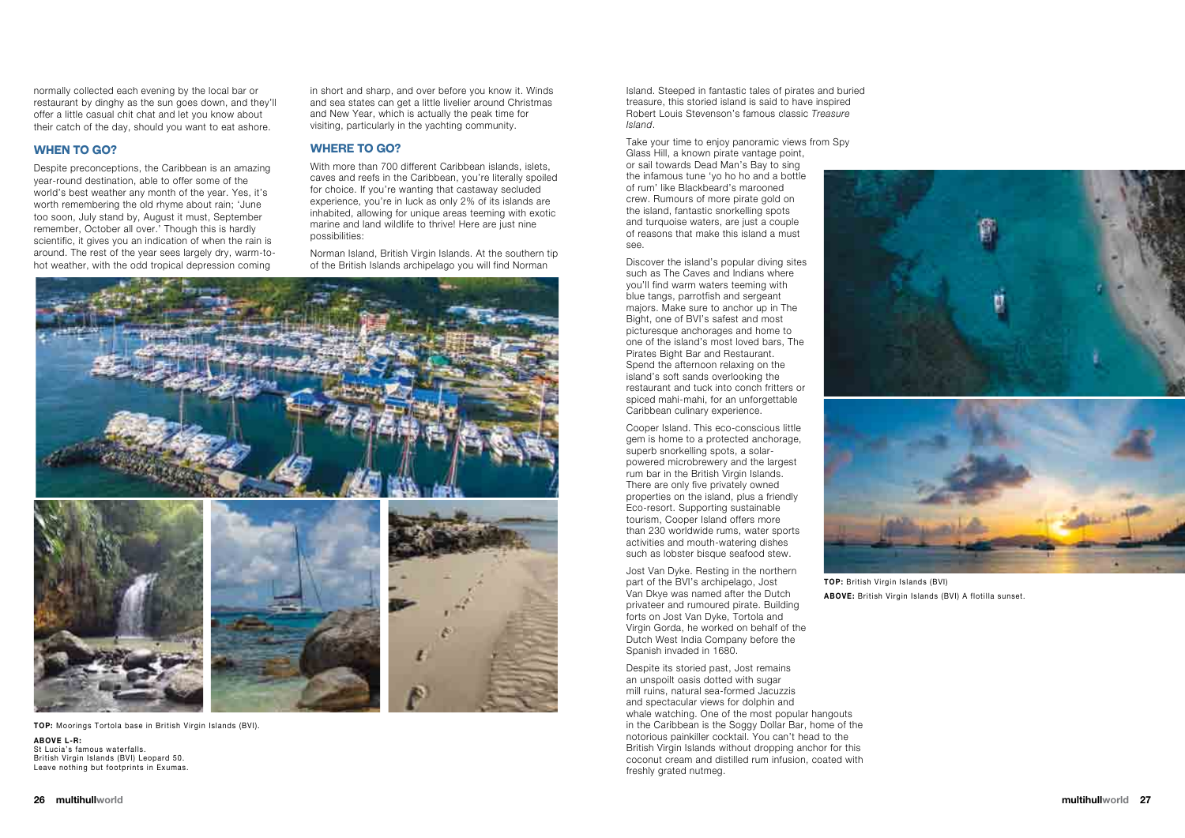normally collected each evening by the local bar or restaurant by dinghy as the sun goes down, and they'll offer a little casual chit chat and let you know about their catch of the day, should you want to eat ashore.

#### **When to go?**

Despite preconceptions, the Caribbean is an amazing year-round destination, able to offer some of the world's best weather any month of the year. Yes, it's worth remembering the old rhyme about rain; 'June too soon, July stand by, August it must, September remember, October all over.' Though this is hardly scientific, it gives you an indication of when the rain is around. The rest of the year sees largely dry, warm-tohot weather, with the odd tropical depression coming

in short and sharp, and over before you know it. Winds and sea states can get a little livelier around Christmas and New Year, which is actually the peak time for visiting, particularly in the yachting community.

#### **Where to go?**

With more than 700 different Caribbean islands, islets, caves and reefs in the Caribbean, you're literally spoiled for choice. If you're wanting that castaway secluded experience, you're in luck as only 2% of its islands are inhabited, allowing for unique areas teeming with exotic marine and land wildlife to thrive! Here are just nine possibilities:

> Cooper Island. This eco-conscious little gem is home to a protected anchorage, superb snorkelling spots, a solarpowered microbrewery and the largest rum bar in the British Virgin Islands. There are only five privately owned properties on the island, plus a friendly Eco-resort. Supporting sustainable tourism, Cooper Island offers more than 230 worldwide rums, water sports activities and mouth-watering dishes such as lobster bisque seafood stew.

Norman Island, British Virgin Islands. At the southern tip of the British Islands archipelago you will find Norman



Take your time to enjoy panoramic views from Spy Glass Hill, a known pirate vantage point, or sail towards Dead Man's Bay to sing the infamous tune 'yo ho ho and a bottle of rum' like Blackbeard's marooned crew. Rumours of more pirate gold on the island, fantastic snorkelling spots and turquoise waters, are just a couple of reasons that make this island a must see.

Discover the island's popular diving sites such as The Caves and Indians where you'll find warm waters teeming with blue tangs, parrotfish and sergeant majors. Make sure to anchor up in The Bight, one of BVI's safest and most picturesque anchorages and home to one of the island's most loved bars, The Pirates Bight Bar and Restaurant. Spend the afternoon relaxing on the island's soft sands overlooking the restaurant and tuck into conch fritters or spiced mahi-mahi, for an unforgettable Caribbean culinary experience.

Jost Van Dyke. Resting in the northern part of the BVI's archipelago, Jost Van Dkye was named after the Dutch privateer and rumoured pirate. Building forts on Jost Van Dyke, Tortola and Virgin Gorda, he worked on behalf of the Dutch West India Company before the Spanish invaded in 1680.

Despite its storied past, Jost remains an unspoilt oasis dotted with sugar mill ruins, natural sea-formed Jacuzzis and spectacular views for dolphin and whale watching. One of the most popular hangouts in the Caribbean is the Soggy Dollar Bar, home of the notorious painkiller cocktail. You can't head to the British Virgin Islands without dropping anchor for this coconut cream and distilled rum infusion, coated with freshly grated nutmeg.

**top:** Moorings Tortola base in British Virgin Islands (BVI).

**above l-r:**  St Lucia's famous waterfalls. British Virgin Islands (BVI) Leopard 50. Leave nothing but footprints in Exumas.



**above:** British Virgin Islands (BVI) A flotilla sunset.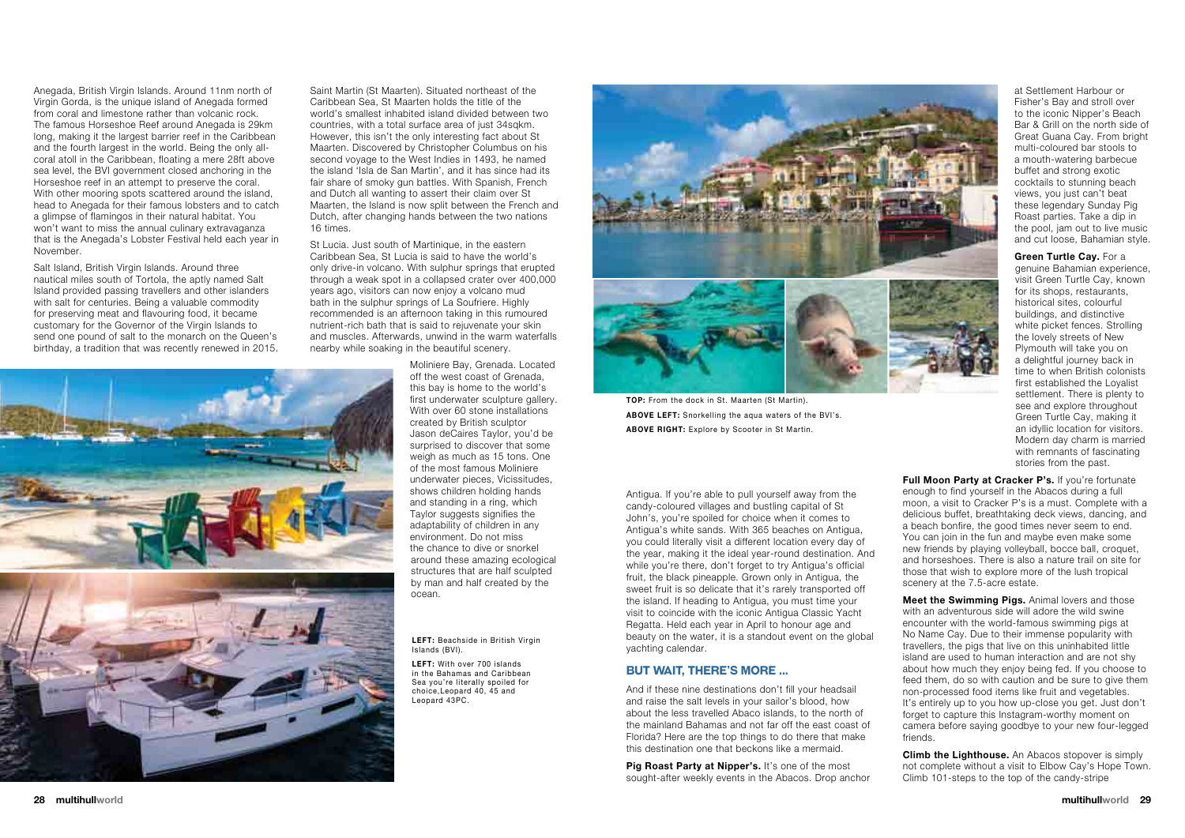Anegada, British Virgin Islands. Around 11nm north of Virgin Gorda, is the unique island of Anegada formed from coral and limestone rather than volcanic rock. The famous Horseshoe Reef around Anegada is 29km long, making it the largest barrier reef in the Caribbean and the fourth largest in the world. Being the only allcoral atoll in the Caribbean, floating a mere 28ft above sea level, the BVI government closed anchoring in the Horseshoe reef in an attempt to preserve the coral. With other mooring spots scattered around the island, head to Anegada for their famous lobsters and to catch a glimpse of flamingos in their natural habitat. You won't want to miss the annual culinary extravaganza that is the Anegada's Lobster Festival held each year in November.

Salt Island, British Virgin Islands. Around three nautical miles south of Tortola, the aptly named Salt Island provided passing travellers and other islanders with salt for centuries. Being a valuable commodity for preserving meat and flavouring food, it became customary for the Governor of the Virgin Islands to send one pound of salt to the monarch on the Queen's birthday, a tradition that was recently renewed in 2015.

Saint Martin (St Maarten). Situated northeast of the Caribbean Sea, St Maarten holds the title of the world's smallest inhabited island divided between two countries, with a total surface area of just 34sqkm. However, this isn't the only interesting fact about St Maarten. Discovered by Christopher Columbus on his second voyage to the West Indies in 1493, he named the island 'Isla de San Martin', and it has since had its fair share of smoky gun battles. With Spanish, French and Dutch all wanting to assert their claim over St Maarten, the Island is now split between the French and Dutch, after changing hands between the two nations 16 times.

> Pig Roast Party at Nipper's. It's one of the most sought-after weekly events in the Abacos. Drop anchor





St Lucia. Just south of Martinique, in the eastern Caribbean Sea, St Lucia is said to have the world's only drive-in volcano. With sulphur springs that erupted through a weak spot in a collapsed crater over 400,000 years ago, visitors can now enjoy a volcano mud bath in the sulphur springs of La Soufriere. Highly recommended is an afternoon taking in this rumoured nutrient-rich bath that is said to rejuvenate your skin and muscles. Afterwards, unwind in the warm waterfalls nearby while soaking in the beautiful scenery.

> Moliniere Bay, Grenada. Located off the west coast of Grenada, this bay is home to the world's first underwater sculpture gallery. With over 60 stone installations created by British sculptor Jason deCaires Taylor, you'd be surprised to discover that some weigh as much as 15 tons. One of the most famous Moliniere underwater pieces, Vicissitudes, shows children holding hands and standing in a ring, which Taylor suggests signifies the adaptability of children in any environment. Do not miss the chance to dive or snorkel around these amazing ecological structures that are half sculpted by man and half created by the ocean.

**Full Moon Party at Cracker P's.** If you're fortunate enough to find yourself in the Abacos during a full moon, a visit to Cracker P's is a must. Complete with a delicious buffet, breathtaking deck views, dancing, and a beach bonfire, the good times never seem to end. You can join in the fun and maybe even make some new friends by playing volleyball, bocce ball, croquet, and horseshoes. There is also a nature trail on site for those that wish to explore more of the lush tropical scenery at the 7.5-acre estate.

**Meet the Swimming Pigs.** Animal lovers and those with an adventurous side will adore the wild swine encounter with the world-famous swimming pigs at No Name Cay. Due to their immense popularity with travellers, the pigs that live on this uninhabited little island are used to human interaction and are not shy about how much they enjoy being fed. If you choose to feed them, do so with caution and be sure to give them non-processed food items like fruit and vegetables. It's entirely up to you how up-close you get. Just don't forget to capture this Instagram-worthy moment on camera before saying goodbye to your new four-legged friends.

**Climb the Lighthouse.** An Abacos stopover is simply not complete without a visit to Elbow Cay's Hope Town. Climb 101-steps to the top of the candy-stripe



**top:** From the dock in St. Maarten (St Martin). **above left:** Snorkelling the aqua waters of the BVI's. **ABOVE RIGHT:** Explore by Scooter in St Martin.

**LEFT:** Beachside in British Virgin Islands (BVI).

Antigua. If you're able to pull yourself away from the candy-coloured villages and bustling capital of St John's, you're spoiled for choice when it comes to Antigua's white sands. With 365 beaches on Antigua, you could literally visit a different location every day of the year, making it the ideal year-round destination. And while you're there, don't forget to try Antigua's official fruit, the black pineapple. Grown only in Antigua, the sweet fruit is so delicate that it's rarely transported off the island. If heading to Antigua, you must time your visit to coincide with the iconic Antigua Classic Yacht Regatta. Held each year in April to honour age and beauty on the water, it is a standout event on the global yachting calendar.

**LEFT:** With over 700 islands in the Bahamas and Caribbean Sea you're literally spoiled for choice,Leopard 40, 45 and Leopard 43PC.

### **But Wait, there's more ...**

And if these nine destinations don't fill your headsail and raise the salt levels in your sailor's blood, how about the less travelled Abaco islands, to the north of the mainland Bahamas and not far off the east coast of Florida? Here are the top things to do there that make this destination one that beckons like a mermaid.

at Settlement Harbour or Fisher's Bay and stroll over to the iconic Nipper's Beach Bar & Grill on the north side of Great Guana Cay. From bright multi-coloured bar stools to a mouth-watering barbecue buffet and strong exotic cocktails to stunning beach views, you just can't beat these legendary Sunday Pig Roast parties. Take a dip in the pool, jam out to live music and cut loose, Bahamian style.

**Green turtle Cay.** For a genuine Bahamian experience, visit Green Turtle Cay, known for its shops, restaurants, historical sites, colourful buildings, and distinctive white picket fences. Strolling the lovely streets of New Plymouth will take you on a delightful journey back in time to when British colonists first established the Loyalist settlement. There is plenty to see and explore throughout Green Turtle Cay, making it an idyllic location for visitors. Modern day charm is married with remnants of fascinating stories from the past.